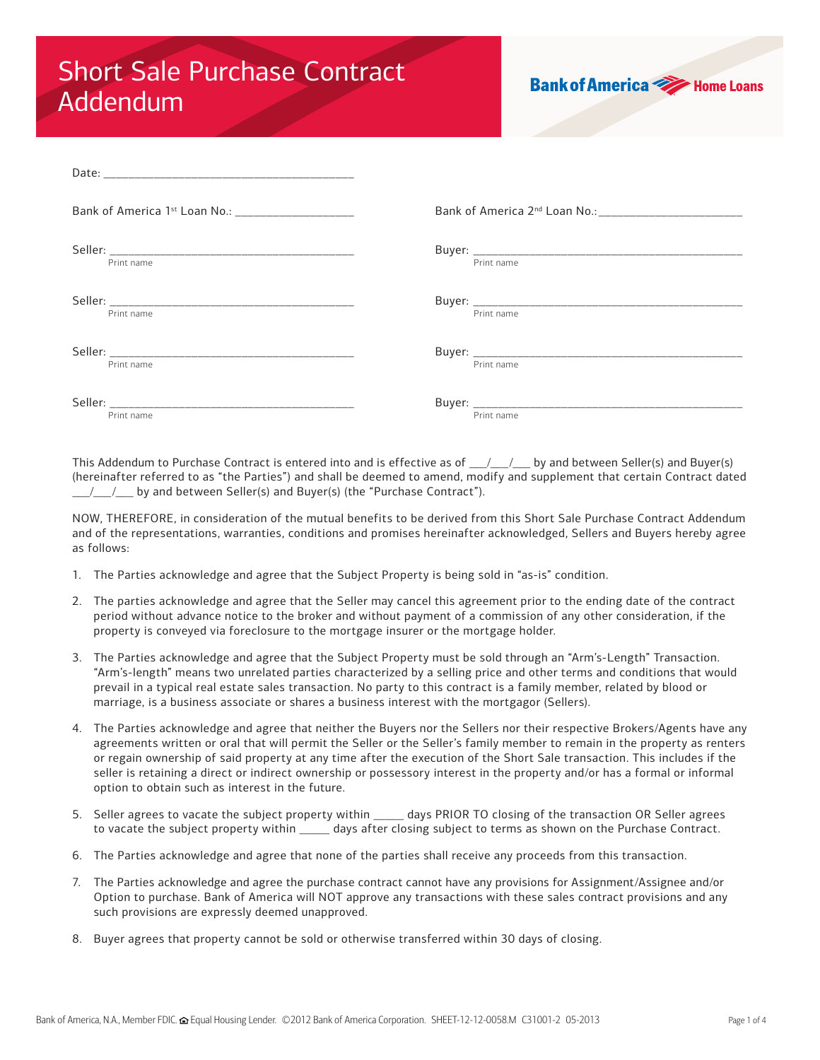## Short Sale Purchase Contract Addendum

| <b>Bank of America &gt;&gt;&gt;&gt;&gt;&gt;</b> Home Loans |  |
|------------------------------------------------------------|--|
|                                                            |  |

| Bank of America 1st Loan No.: ________________________ |            |
|--------------------------------------------------------|------------|
|                                                        |            |
| Print name                                             | Print name |
|                                                        |            |
| Print name                                             | Print name |
|                                                        |            |
| Print name                                             | Print name |
|                                                        |            |
| Print name                                             | Print name |

This Addendum to Purchase Contract is entered into and is effective as of  $\frac{1}{\frac{1}{2}}$  by and between Seller(s) and Buyer(s) (hereinafter referred to as "the Parties") and shall be deemed to amend, modify and supplement that certain Contract dated  $/$  / by and between Seller(s) and Buyer(s) (the "Purchase Contract").

NOW, THEREFORE, in consideration of the mutual benefits to be derived from this Short Sale Purchase Contract Addendum and of the representations, warranties, conditions and promises hereinafter acknowledged, Sellers and Buyers hereby agree as follows:

- 1. The Parties acknowledge and agree that the Subject Property is being sold in "as-is" condition.
- 2. The parties acknowledge and agree that the Seller may cancel this agreement prior to the ending date of the contract period without advance notice to the broker and without payment of a commission of any other consideration, if the property is conveyed via foreclosure to the mortgage insurer or the mortgage holder.
- 3. The Parties acknowledge and agree that the Subject Property must be sold through an "Arm's-Length" Transaction. "Arm's-length" means two unrelated parties characterized by a selling price and other terms and conditions that would prevail in a typical real estate sales transaction. No party to this contract is a family member, related by blood or marriage, is a business associate or shares a business interest with the mortgagor (Sellers).
- 4. The Parties acknowledge and agree that neither the Buyers nor the Sellers nor their respective Brokers/Agents have any agreements written or oral that will permit the Seller or the Seller's family member to remain in the property as renters or regain ownership of said property at any time after the execution of the Short Sale transaction. This includes if the seller is retaining a direct or indirect ownership or possessory interest in the property and/or has a formal or informal option to obtain such as interest in the future.
- 5. Seller agrees to vacate the subject property within \_\_\_\_\_ days PRIOR TO closing of the transaction OR Seller agrees to vacate the subject property within \_\_\_\_\_ days after closing subject to terms as shown on the Purchase Contract.
- 6. The Parties acknowledge and agree that none of the parties shall receive any proceeds from this transaction.
- 7. The Parties acknowledge and agree the purchase contract cannot have any provisions for Assignment/Assignee and/or Option to purchase. Bank of America will NOT approve any transactions with these sales contract provisions and any such provisions are expressly deemed unapproved.
- 8. Buyer agrees that property cannot be sold or otherwise transferred within 30 days of closing.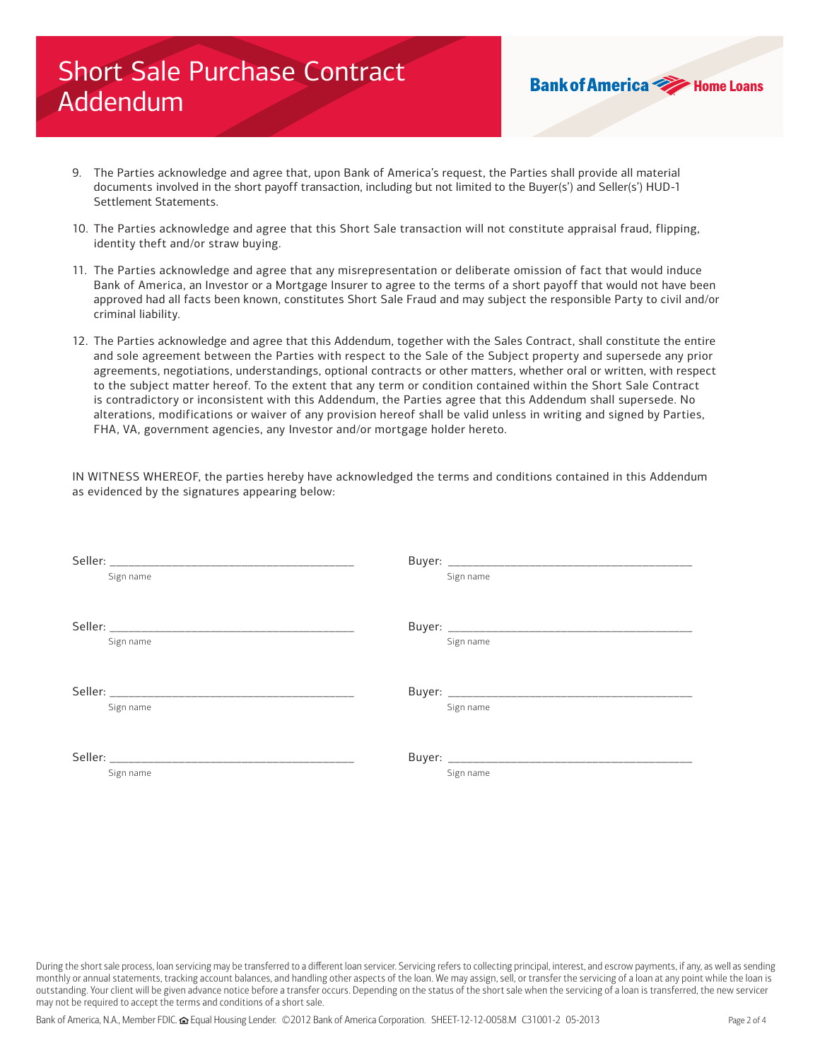## Short Sale Purchase Contract Addendum

9. The Parties acknowledge and agree that, upon Bank of America's request, the Parties shall provide all material documents involved in the short payoff transaction, including but not limited to the Buyer(s') and Seller(s') HUD-1 Settlement Statements.

**Bank of America We Home Loans** 

- 10. The Parties acknowledge and agree that this Short Sale transaction will not constitute appraisal fraud, flipping, identity theft and/or straw buying.
- 11. The Parties acknowledge and agree that any misrepresentation or deliberate omission of fact that would induce Bank of America, an Investor or a Mortgage Insurer to agree to the terms of a short payoff that would not have been approved had all facts been known, constitutes Short Sale Fraud and may subject the responsible Party to civil and/or criminal liability.
- 12. The Parties acknowledge and agree that this Addendum, together with the Sales Contract, shall constitute the entire and sole agreement between the Parties with respect to the Sale of the Subject property and supersede any prior agreements, negotiations, understandings, optional contracts or other matters, whether oral or written, with respect to the subject matter hereof. To the extent that any term or condition contained within the Short Sale Contract is contradictory or inconsistent with this Addendum, the Parties agree that this Addendum shall supersede. No alterations, modifications or waiver of any provision hereof shall be valid unless in writing and signed by Parties, FHA, VA, government agencies, any Investor and/or mortgage holder hereto.

IN WITNESS WHEREOF, the parties hereby have acknowledged the terms and conditions contained in this Addendum as evidenced by the signatures appearing below:

| Sign name | Sign name |
|-----------|-----------|
|           |           |
|           |           |
| Sign name | Sign name |
|           |           |
|           |           |
| Sign name | Sign name |
|           |           |
|           |           |
| Sign name | Sign name |
|           |           |

During the short sale process, loan servicing may be transferred to a different loan servicer. Servicing refers to collecting principal, interest, and escrow payments, if any, as well as sending monthly or annual statements, tracking account balances, and handling other aspects of the loan. We may assign, sell, or transfer the servicing of a loan at any point while the loan is outstanding. Your client will be given advance notice before a transfer occurs. Depending on the status of the short sale when the servicing of a loan is transferred, the new servicer may not be required to accept the terms and conditions of a short sale.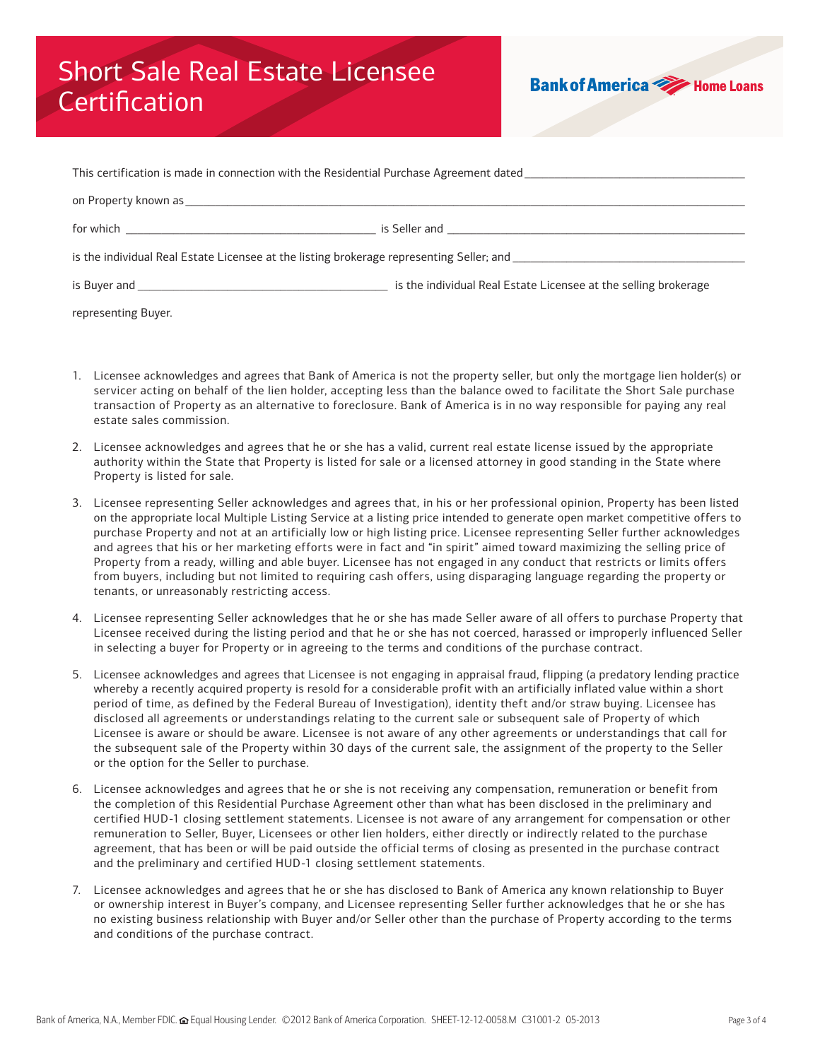## Short Sale Real Estate Licensee **Certification**



| This certification is made in connection with the Residential Purchase Agreement dated <b>Theorem Accepts and the School</b> |                                                                 |  |  |  |
|------------------------------------------------------------------------------------------------------------------------------|-----------------------------------------------------------------|--|--|--|
|                                                                                                                              |                                                                 |  |  |  |
|                                                                                                                              |                                                                 |  |  |  |
| is the individual Real Estate Licensee at the listing brokerage representing Seller; and                                     |                                                                 |  |  |  |
|                                                                                                                              | is the individual Real Estate Licensee at the selling brokerage |  |  |  |

representing Buyer.

- 1. Licensee acknowledges and agrees that Bank of America is not the property seller, but only the mortgage lien holder(s) or servicer acting on behalf of the lien holder, accepting less than the balance owed to facilitate the Short Sale purchase transaction of Property as an alternative to foreclosure. Bank of America is in no way responsible for paying any real estate sales commission.
- 2. Licensee acknowledges and agrees that he or she has a valid, current real estate license issued by the appropriate authority within the State that Property is listed for sale or a licensed attorney in good standing in the State where Property is listed for sale.
- 3. Licensee representing Seller acknowledges and agrees that, in his or her professional opinion, Property has been listed on the appropriate local Multiple Listing Service at a listing price intended to generate open market competitive offers to purchase Property and not at an artificially low or high listing price. Licensee representing Seller further acknowledges and agrees that his or her marketing efforts were in fact and "in spirit" aimed toward maximizing the selling price of Property from a ready, willing and able buyer. Licensee has not engaged in any conduct that restricts or limits offers from buyers, including but not limited to requiring cash offers, using disparaging language regarding the property or tenants, or unreasonably restricting access.
- 4. Licensee representing Seller acknowledges that he or she has made Seller aware of all offers to purchase Property that Licensee received during the listing period and that he or she has not coerced, harassed or improperly influenced Seller in selecting a buyer for Property or in agreeing to the terms and conditions of the purchase contract.
- 5. Licensee acknowledges and agrees that Licensee is not engaging in appraisal fraud, flipping (a predatory lending practice whereby a recently acquired property is resold for a considerable profit with an artificially inflated value within a short period of time, as defined by the Federal Bureau of Investigation), identity theft and/or straw buying. Licensee has disclosed all agreements or understandings relating to the current sale or subsequent sale of Property of which Licensee is aware or should be aware. Licensee is not aware of any other agreements or understandings that call for the subsequent sale of the Property within 30 days of the current sale, the assignment of the property to the Seller or the option for the Seller to purchase.
- 6. Licensee acknowledges and agrees that he or she is not receiving any compensation, remuneration or benefit from the completion of this Residential Purchase Agreement other than what has been disclosed in the preliminary and certified HUD-1 closing settlement statements. Licensee is not aware of any arrangement for compensation or other remuneration to Seller, Buyer, Licensees or other lien holders, either directly or indirectly related to the purchase agreement, that has been or will be paid outside the official terms of closing as presented in the purchase contract and the preliminary and certified HUD-1 closing settlement statements.
- 7. Licensee acknowledges and agrees that he or she has disclosed to Bank of America any known relationship to Buyer or ownership interest in Buyer's company, and Licensee representing Seller further acknowledges that he or she has no existing business relationship with Buyer and/or Seller other than the purchase of Property according to the terms and conditions of the purchase contract.